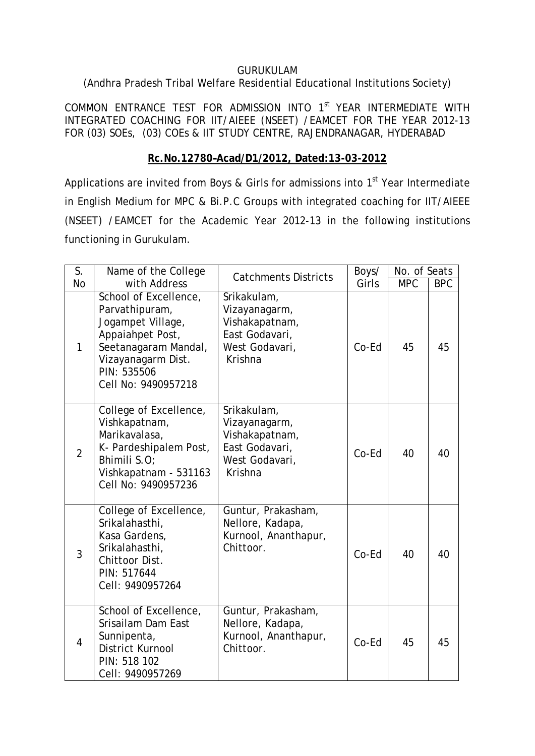#### GURUKULAM

# (Andhra Pradesh Tribal Welfare Residential Educational Institutions Society)

COMMON ENTRANCE TEST FOR ADMISSION INTO 1<sup>st</sup> YEAR INTERMEDIATE WITH INTEGRATED COACHING FOR IIT/AIEEE (NSEET) /EAMCET FOR THE YEAR 2012-13 FOR (03) SOEs, (03) COEs & IIT STUDY CENTRE, RAJENDRANAGAR, HYDERABAD

## **Rc.No.12780–Acad/D1/2012, Dated:13-03-2012**

Applications are invited from Boys & Girls for admissions into  $1<sup>st</sup>$  Year Intermediate in English Medium for MPC & Bi.P.C Groups with integrated coaching for IIT/AIEEE (NSEET) /EAMCET for the Academic Year 2012-13 in the following institutions functioning in Gurukulam.

| S.             | Name of the College                                                                                                                                                  | <b>Catchments Districts</b>                                                                   | Boys/ | No. of Seats |            |
|----------------|----------------------------------------------------------------------------------------------------------------------------------------------------------------------|-----------------------------------------------------------------------------------------------|-------|--------------|------------|
| <b>No</b>      | with Address                                                                                                                                                         |                                                                                               | Girls | <b>MPC</b>   | <b>BPC</b> |
| $\mathbf{1}$   | School of Excellence,<br>Parvathipuram,<br>Jogampet Village,<br>Appaiahpet Post,<br>Seetanagaram Mandal,<br>Vizayanagarm Dist.<br>PIN: 535506<br>Cell No: 9490957218 | Srikakulam,<br>Vizayanagarm,<br>Vishakapatnam,<br>East Godavari,<br>West Godavari,<br>Krishna | Co-Ed | 45           | 45         |
| $\overline{2}$ | College of Excellence,<br>Vishkapatnam,<br>Marikavalasa,<br>K- Pardeshipalem Post,<br>Bhimili S.O:<br>Vishkapatnam - 531163<br>Cell No: 9490957236                   | Srikakulam,<br>Vizayanagarm,<br>Vishakapatnam,<br>East Godavari,<br>West Godavari,<br>Krishna | Co-Ed | 40           | 40         |
| $\overline{3}$ | College of Excellence,<br>Srikalahasthi,<br>Kasa Gardens,<br>Srikalahasthi,<br>Chittoor Dist.<br>PIN: 517644<br>Cell: 9490957264                                     | Guntur, Prakasham,<br>Nellore, Kadapa,<br>Kurnool, Ananthapur,<br>Chittoor.                   | Co-Ed | 40           | 40         |
| $\overline{4}$ | School of Excellence,<br>Srisailam Dam East<br>Sunnipenta,<br>District Kurnool<br>PIN: 518 102<br>Cell: 9490957269                                                   | Guntur, Prakasham,<br>Nellore, Kadapa,<br>Kurnool, Ananthapur,<br>Chittoor.                   | Co-Ed | 45           | 45         |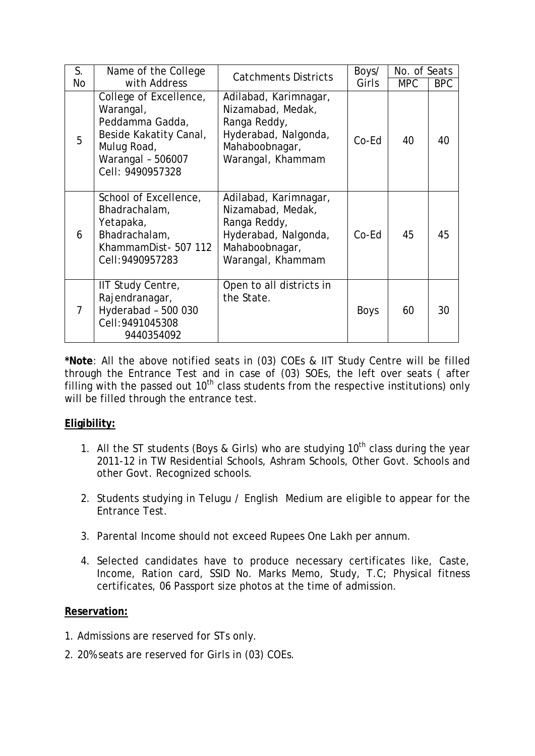| S. | Name of the College                                                                                                                      | <b>Catchments Districts</b>                                                                                               | Boys/       | No. of Seats |            |
|----|------------------------------------------------------------------------------------------------------------------------------------------|---------------------------------------------------------------------------------------------------------------------------|-------------|--------------|------------|
| No | with Address                                                                                                                             |                                                                                                                           | Girls       | <b>MPC</b>   | <b>BPC</b> |
| 5  | College of Excellence,<br>Warangal,<br>Peddamma Gadda,<br>Beside Kakatity Canal,<br>Mulug Road,<br>Warangal - 506007<br>Cell: 9490957328 | Adilabad, Karimnagar,<br>Nizamabad, Medak,<br>Ranga Reddy,<br>Hyderabad, Nalgonda,<br>Mahaboobnagar,<br>Warangal, Khammam | Co-Ed       | 40           | 40         |
| 6  | School of Excellence,<br>Bhadrachalam,<br>Yetapaka,<br>Bhadrachalam,<br>KhammamDist- 507 112<br>Cell: 9490957283                         | Adilabad, Karimnagar,<br>Nizamabad, Medak,<br>Ranga Reddy,<br>Hyderabad, Nalgonda,<br>Mahaboobnagar,<br>Warangal, Khammam | $Co-Ed$     | 45           | 45         |
| 7  | IIT Study Centre,<br>Rajendranagar,<br>Hyderabad - 500 030<br>Cell: 9491045308<br>9440354092                                             | Open to all districts in<br>the State.                                                                                    | <b>Boys</b> | 60           | 30         |

**\*Note**: All the above notified seats in (03) COEs & IIT Study Centre will be filled through the Entrance Test and in case of (03) SOEs, the left over seats ( after filling with the passed out  $10<sup>th</sup>$  class students from the respective institutions) only will be filled through the entrance test.

## **Eligibility:**

- 1. All the ST students (Boys & Girls) who are studying  $10<sup>th</sup>$  class during the year 2011-12 in TW Residential Schools, Ashram Schools, Other Govt. Schools and other Govt. Recognized schools.
- 2. Students studying in Telugu / English Medium are eligible to appear for the Entrance Test.
- 3. Parental Income should not exceed Rupees One Lakh per annum.
- 4. Selected candidates have to produce necessary certificates like, Caste, Income, Ration card, SSID No. Marks Memo, Study, T.C; Physical fitness certificates, 06 Passport size photos at the time of admission.

#### **Reservation:**

- 1. Admissions are reserved for STs only.
- 2. 20% seats are reserved for Girls in (03) COEs.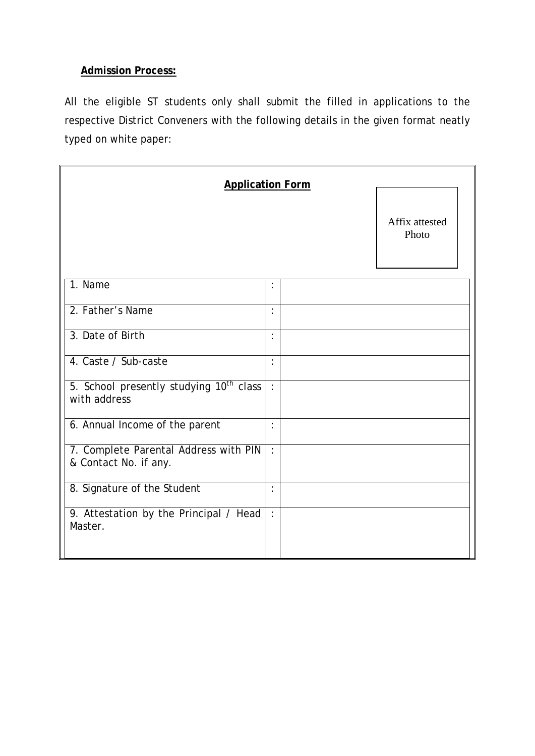## **Admission Process:**

All the eligible ST students only shall submit the filled in applications to the respective District Conveners with the following details in the given format neatly typed on white paper:

| <b>Application Form</b>                                             |                |  |                         |
|---------------------------------------------------------------------|----------------|--|-------------------------|
|                                                                     |                |  | Affix attested<br>Photo |
| 1. Name                                                             | $\vdots$       |  |                         |
| 2. Father's Name                                                    | :              |  |                         |
| 3. Date of Birth                                                    | $\ddot{\cdot}$ |  |                         |
| 4. Caste / Sub-caste                                                | $\ddot{\cdot}$ |  |                         |
| 5. School presently studying 10 <sup>th</sup> class<br>with address | $\ddot{\cdot}$ |  |                         |
| 6. Annual Income of the parent                                      | :              |  |                         |
| 7. Complete Parental Address with PIN<br>& Contact No. if any.      | $\ddot{\cdot}$ |  |                         |
| 8. Signature of the Student                                         | $\cdot$        |  |                         |
| 9. Attestation by the Principal / Head<br>Master.                   | $\ddot{\cdot}$ |  |                         |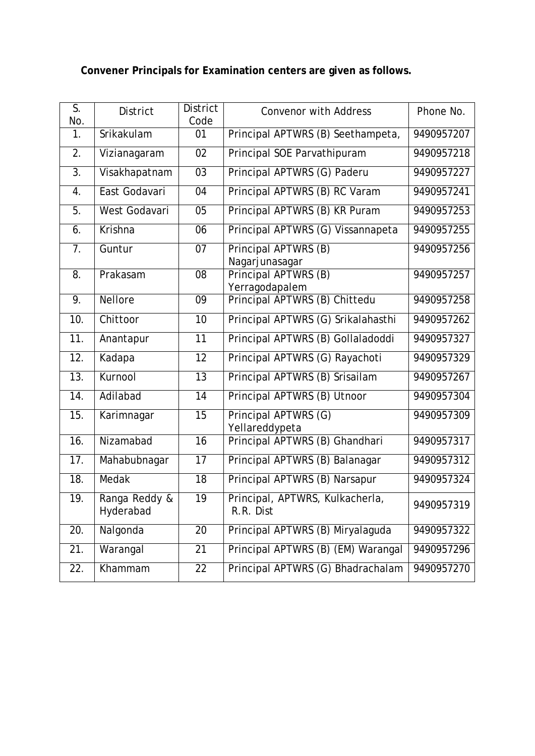# **Convener Principals for Examination centers are given as follows.**

| $\overline{\mathsf{S}}$ .<br>No. | <b>District</b>            | <b>District</b><br>Code | <b>Convenor with Address</b>                 | Phone No.  |
|----------------------------------|----------------------------|-------------------------|----------------------------------------------|------------|
| 1.                               | Srikakulam                 | 01                      | Principal APTWRS (B) Seethampeta,            | 9490957207 |
| 2.                               | Vizianagaram               | 02                      | Principal SOE Parvathipuram                  | 9490957218 |
| $\overline{3}$ .                 | Visakhapatnam              | $\overline{03}$         | Principal APTWRS (G) Paderu                  | 9490957227 |
| 4.                               | East Godavari              | 04                      | Principal APTWRS (B) RC Varam                | 9490957241 |
| $\overline{5}$ .                 | West Godavari              | 05                      | Principal APTWRS (B) KR Puram                | 9490957253 |
| 6.                               | Krishna                    | 06                      | Principal APTWRS (G) Vissannapeta            | 9490957255 |
| 7.                               | Guntur                     | 07                      | Principal APTWRS (B)<br>Nagarjunasagar       | 9490957256 |
| 8.                               | Prakasam                   | 08                      | Principal APTWRS (B)<br>Yerragodapalem       | 9490957257 |
| 9.                               | <b>Nellore</b>             | 09                      | Principal APTWRS (B) Chittedu                | 9490957258 |
| 10.                              | Chittoor                   | 10                      | Principal APTWRS (G) Srikalahasthi           | 9490957262 |
| 11.                              | Anantapur                  | $\overline{11}$         | Principal APTWRS (B) Gollaladoddi            | 9490957327 |
| 12.                              | Kadapa                     | 12                      | Principal APTWRS (G) Rayachoti               | 9490957329 |
| $\overline{13}$ .                | Kurnool                    | 13                      | Principal APTWRS (B) Srisailam               | 9490957267 |
| 14.                              | Adilabad                   | 14                      | Principal APTWRS (B) Utnoor                  | 9490957304 |
| 15.                              | Karimnagar                 | 15                      | Principal APTWRS (G)<br>Yellareddypeta       | 9490957309 |
| 16.                              | Nizamabad                  | $\overline{16}$         | Principal APTWRS (B) Ghandhari               | 9490957317 |
| 17.                              | Mahabubnagar               | 17                      | Principal APTWRS (B) Balanagar               | 9490957312 |
| $\overline{18}$ .                | Medak                      | 18                      | Principal APTWRS (B) Narsapur                | 9490957324 |
| $\overline{19}$ .                | Ranga Reddy &<br>Hyderabad | 19                      | Principal, APTWRS, Kulkacherla,<br>R.R. Dist | 9490957319 |
| 20.                              | Nalgonda                   | 20                      | Principal APTWRS (B) Miryalaguda             | 9490957322 |
| 21.                              | Warangal                   | 21                      | Principal APTWRS (B) (EM) Warangal           | 9490957296 |
| 22.                              | Khammam                    | 22                      | Principal APTWRS (G) Bhadrachalam            | 9490957270 |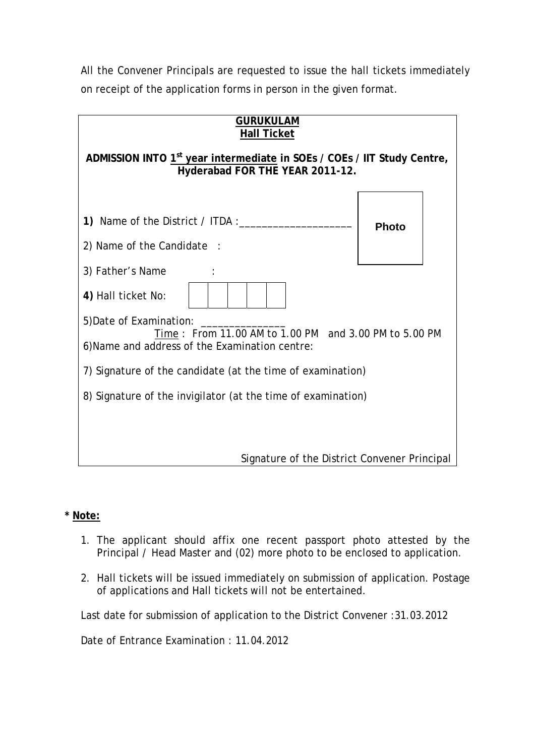All the Convener Principals are requested to issue the hall tickets immediately on receipt of the application forms in person in the given format.

| <b>GURUKULAM</b><br>Hall Ticket                                                                                        |              |  |  |  |  |  |  |
|------------------------------------------------------------------------------------------------------------------------|--------------|--|--|--|--|--|--|
| ADMISSION INTO 1 <sup>st</sup> year intermediate in SOEs / COEs / IIT Study Centre,<br>Hyderabad FOR THE YEAR 2011-12. |              |  |  |  |  |  |  |
| 1) Name of the District / ITDA :___                                                                                    | <b>Photo</b> |  |  |  |  |  |  |
| 2) Name of the Candidate :                                                                                             |              |  |  |  |  |  |  |
| 3) Father's Name                                                                                                       |              |  |  |  |  |  |  |
| 4) Hall ticket No:                                                                                                     |              |  |  |  |  |  |  |
| 5) Date of Examination:                                                                                                |              |  |  |  |  |  |  |
| Time: From 11.00 AM to 1.00 PM and 3.00 PM to 5.00 PM<br>6) Name and address of the Examination centre:                |              |  |  |  |  |  |  |
| 7) Signature of the candidate (at the time of examination)                                                             |              |  |  |  |  |  |  |
| 8) Signature of the invigilator (at the time of examination)                                                           |              |  |  |  |  |  |  |
|                                                                                                                        |              |  |  |  |  |  |  |
| Signature of the District Convener Principal                                                                           |              |  |  |  |  |  |  |

## **\* Note:**

- 1. The applicant should affix one recent passport photo attested by the Principal / Head Master and (02) more photo to be enclosed to application.
- 2. Hall tickets will be issued immediately on submission of application. Postage of applications and Hall tickets will not be entertained.

Last date for submission of application to the District Convener :31.03.2012

Date of Entrance Examination : 11.04.2012